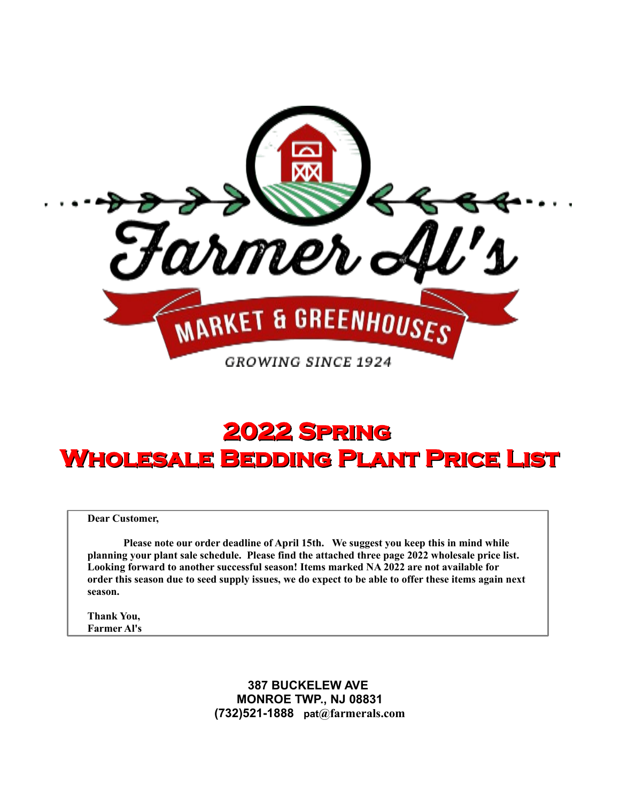

# **2022 Spring Wholesale Bedding Plant Price List**

**Dear Customer,**

**Please note our order deadline of April 15th. We suggest you keep this in mind while planning your plant sale schedule. Please find the attached three page 2022 wholesale price list. Looking forward to another successful season! Items marked NA 2022 are not available for order this season due to seed supply issues, we do expect to be able to offer these items again next season.**

**Thank You, Farmer Al's**

> **387 BUCKELEW AVE MONROE TWP., NJ 08831 (732)521-1888 pat@farmerals.com**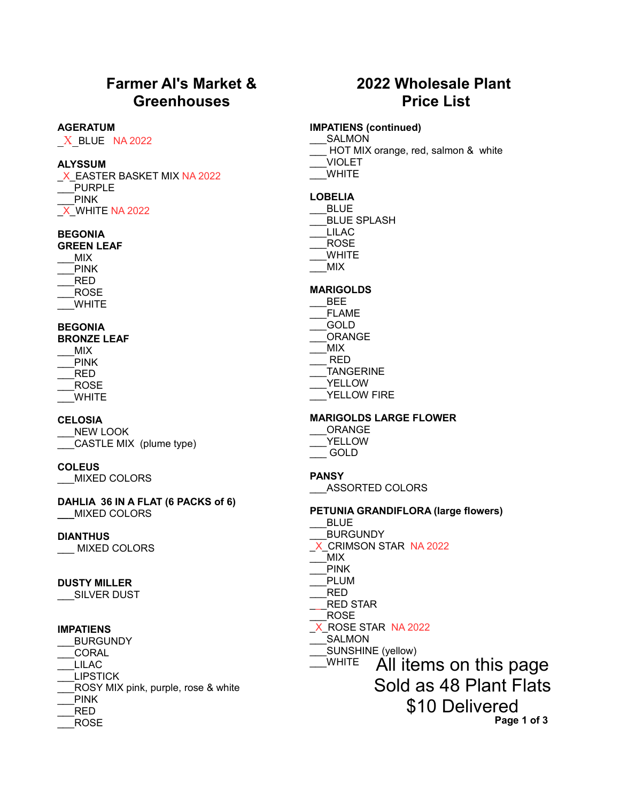# **Farmer Al's Market & Greenhouses**

#### **AGERATUM**

 $X$  BLUE NA 2022

#### **ALYSSUM**

X EASTER BASKET MIX NA 2022 \_\_\_PURPLE \_\_\_PINK \_X\_WHITE NA 2022

## **BEGONIA**

**GREEN LEAF** \_\_\_MIX \_\_\_PINK \_\_\_RED \_\_\_ROSE \_\_\_WHITE

#### **BEGONIA**

**BRONZE LEAF** \_\_\_MIX PINK \_\_\_RED \_\_\_ROSE \_\_\_WHITE

#### **CELOSIA**

\_\_\_NEW LOOK \_\_\_CASTLE MIX (plume type)

#### **COLEUS**

\_\_\_MIXED COLORS

**DAHLIA 36 IN A FLAT (6 PACKS of 6) \_\_\_**MIXED COLORS

#### **DIANTHUS**

\_\_\_ MIXED COLORS

#### **DUSTY MILLER**

\_\_\_SILVER DUST

#### **IMPATIENS**

\_\_\_BURGUNDY \_\_\_CORAL \_\_\_LILAC \_\_\_LIPSTICK \_\_\_ROSY MIX pink, purple, rose & white \_\_\_PINK \_\_\_RED \_\_\_ROSE

# **2022 Wholesale Plant Price List**

#### **IMPATIENS (continued)**

\_\_\_SALMON

- HOT MIX orange, red, salmon & white
- \_\_\_VIOLET \_\_\_WHITE
- 

# **LOBELIA**

\_\_\_BLUE BLUE SPLASH \_\_\_LILAC \_\_\_ROSE \_\_\_WHITE \_\_\_MIX

#### **MARIGOLDS**

- \_\_\_BEE \_\_\_FLAME \_\_\_GOLD \_\_\_ORANGE \_\_\_MIX \_\_\_ RED \_\_\_TANGERINE \_\_\_YELLOW
- YELLOW FIRE

#### **MARIGOLDS LARGE FLOWER**

| ORANGE |  |
|--------|--|
| YELLOW |  |
| GOLD   |  |

#### **PANSY**

\_\_\_ASSORTED COLORS

#### **PETUNIA GRANDIFLORA (large flowers)**

- \_\_\_BLUE
- \_\_\_BURGUNDY
- \_X\_CRIMSON STAR NA 2022
- \_\_\_MIX
- \_\_\_PINK
- \_\_\_PLUM \_\_\_RED
- \_\_\_RED STAR
- \_\_\_ROSE
- X\_ROSE STAR\_NA 2022
- \_\_\_SALMON
- SUNSHINE (yellow)

\_\_\_WHITE All items on this page

Sold as 48 Plant Flats

\$10 Delivered

 **Page 1 of 3**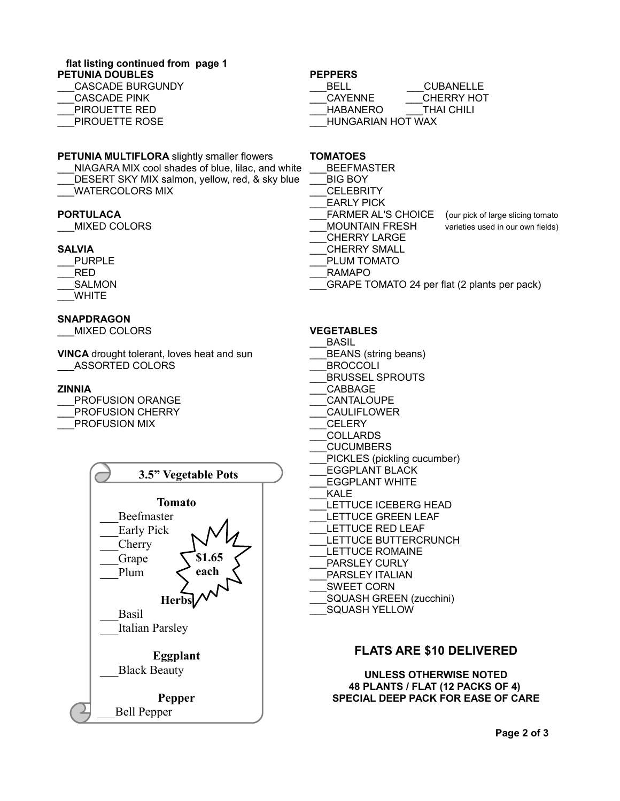### **flat listing continued from page 1**

**PETUNIA DOUBLES**

| CASCADE BURGUNDY    |
|---------------------|
| <b>CASCADE PINK</b> |
| PIROUETTE RED       |

PIROUETTE ROSE

#### **PEPPERS**

| BELL.                    | <b>CUBANELLE</b>  |
|--------------------------|-------------------|
| <b>CAYENNE</b>           | <b>CHERRY HOT</b> |
| <b>HABANERO</b>          | <b>THAI CHILI</b> |
| <b>HUNGARIAN HOT WAX</b> |                   |

#### **PETUNIA MULTIFLORA** slightly smaller flowers

NIAGARA MIX cool shades of blue, lilac, and white DESERT SKY MIX salmon, yellow, red, & sky blue \_\_\_WATERCOLORS MIX

#### **PORTULACA**

\_\_\_MIXED COLORS

#### **SALVIA**

- \_\_\_PURPLE \_\_\_RED
- \_\_\_SALMON \_\_\_WHITE

#### **SNAPDRAGON**

\_\_\_MIXED COLORS

**VINCA** drought tolerant, loves heat and sun **\_\_\_**ASSORTED COLORS

#### **ZINNIA**

|                      | <b>PROFUSION ORANGE</b> |
|----------------------|-------------------------|
|                      | PROFUSION CHERRY        |
| <b>PROFUSION MIX</b> |                         |



## **TOMATOES**

- **BEEFMASTER**
- \_\_\_BIG BOY
- \_\_\_CELEBRITY
- \_\_\_EARLY PICK
- FARMER AL'S CHOICE (our pick of large slicing tomato
- MOUNTAIN FRESH varieties used in our own fields)
- \_\_\_CHERRY LARGE
- \_\_\_CHERRY SMALL
- PLUM TOMATO
- \_\_\_RAMAPO
- GRAPE TOMATO 24 per flat (2 plants per pack)

#### **VEGETABLES**

- \_\_\_BASIL
- BEANS (string beans)
- \_\_\_BROCCOLI
- \_\_\_BRUSSEL SPROUTS
- \_\_\_CABBAGE
- \_\_\_CANTALOUPE
- \_\_\_CAULIFLOWER
- \_\_\_CELERY
- \_\_\_COLLARDS
- \_\_\_CUCUMBERS
- PICKLES (pickling cucumber)
- \_\_\_EGGPLANT BLACK
- \_\_\_EGGPLANT WHITE
- \_\_\_KALE
- LETTUCE ICEBERG HEAD
- LETTUCE GREEN LEAF
- LETTUCE RED LEAF
- LETTUCE BUTTERCRUNCH
- LETTUCE ROMAINE
- PARSLEY CURLY
- PARSLEY ITALIAN
- \_\_\_SWEET CORN
- \_\_\_SQUASH GREEN (zucchini)
- SQUASH YELLOW

# **FLATS ARE \$10 DELIVERED**

**UNLESS OTHERWISE NOTED 48 PLANTS / FLAT (12 PACKS OF 4) SPECIAL DEEP PACK FOR EASE OF CARE**